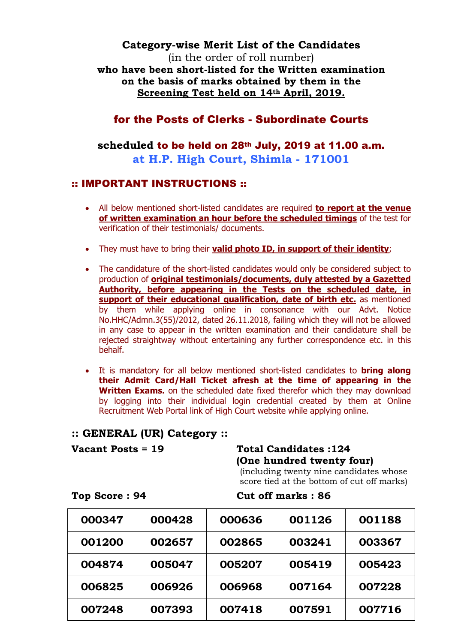### **Category-wise Merit List of the Candidates**

(in the order of roll number) **who have been short-listed for the Written examination on the basis of marks obtained by them in the Screening Test held on 14th April, 2019.**

## for the Posts of Clerks - Subordinate Courts

## **scheduled** to be held on 28th July, 2019 at 11.00 a.m. **at H.P. High Court, Shimla - 171001**

### :: IMPORTANT INSTRUCTIONS ::

- All below mentioned short-listed candidates are required **to report at the venue of written examination an hour before the scheduled timings** of the test for verification of their testimonials/ documents.
- They must have to bring their **valid photo ID, in support of their identity**;
- The candidature of the short-listed candidates would only be considered subject to production of **original testimonials/documents, duly attested by a Gazetted Authority, before appearing in the Tests on the scheduled date, in support of their educational qualification, date of birth etc.** as mentioned by them while applying online in consonance with our Advt. Notice No.HHC/Admn.3(55)/2012, dated 26.11.2018, failing which they will not be allowed in any case to appear in the written examination and their candidature shall be rejected straightway without entertaining any further correspondence etc. in this behalf.
- It is mandatory for all below mentioned short-listed candidates to **bring along their Admit Card/Hall Ticket afresh at the time of appearing in the Written Exams.** on the scheduled date fixed therefor which they may download by logging into their individual login credential created by them at Online Recruitment Web Portal link of High Court website while applying online.

### **:: GENERAL (UR) Category ::**

## **Vacant Posts = 19 Total Candidates :124 (One hundred twenty four)**

(including twenty nine candidates whose score tied at the bottom of cut off marks)

| 000347 | 000428 | 000636 | 001126 | 001188 |
|--------|--------|--------|--------|--------|
| 001200 | 002657 | 002865 | 003241 | 003367 |
| 004874 | 005047 | 005207 | 005419 | 005423 |
| 006825 | 006926 | 006968 | 007164 | 007228 |
| 007248 | 007393 | 007418 | 007591 | 007716 |

#### **Top Score : 94** Cut off marks : 86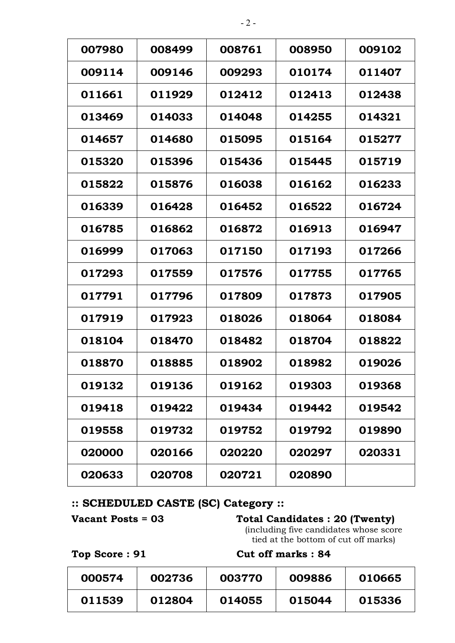| 007980 | 008499 | 008761        | 008950 | 009102 |
|--------|--------|---------------|--------|--------|
| 009114 | 009146 | 009293        | 010174 | 011407 |
| 011661 | 011929 | 012412        | 012413 | 012438 |
| 013469 | 014033 | 014048        | 014255 | 014321 |
| 014657 | 014680 | 015095        | 015164 | 015277 |
| 015320 | 015396 | 015436        | 015445 | 015719 |
| 015822 | 015876 | 016038        | 016162 | 016233 |
| 016339 | 016428 | 016452        | 016522 | 016724 |
| 016785 | 016862 | 016872        | 016913 | 016947 |
| 016999 | 017063 | 017150        | 017193 | 017266 |
| 017293 | 017559 | 017576        | 017755 | 017765 |
| 017791 | 017796 | 017809        | 017873 | 017905 |
| 017919 | 017923 | 018026        | 018064 | 018084 |
| 018104 | 018470 | 018482        | 018704 | 018822 |
| 018870 | 018885 | 018902        | 018982 | 019026 |
| 019132 | 019136 | 019162        | 019303 | 019368 |
| 019418 | 019422 | 019434        | 019442 | 019542 |
| 019558 | 019732 | 019752        | 019792 | 019890 |
| 020000 | 020166 | <b>020220</b> | 020297 | 020331 |
| 020633 | 020708 | 020721        | 020890 |        |

## **:: SCHEDULED CASTE (SC) Category ::**

# **Vacant Posts = 03 Total Candidates : 20 (Twenty)**

(including five candidates whose score tied at the bottom of cut off marks)

### Top Score : 91 Cut off marks : 84

| 000574 | 002736 | 003770 | 009886 | 010665 |
|--------|--------|--------|--------|--------|
| 011539 | 012804 | 014055 | 015044 | 015336 |